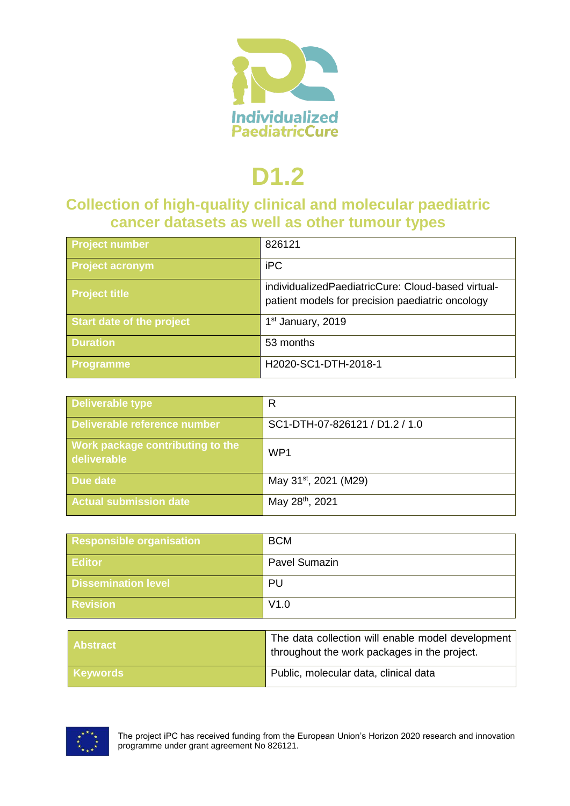

# **D1.2**

### **Collection of high-quality clinical and molecular paediatric cancer datasets as well as other tumour types**

| Project number                   | 826121                                                                                                 |
|----------------------------------|--------------------------------------------------------------------------------------------------------|
| <b>Project acronym</b>           | <b>iPC</b>                                                                                             |
| <b>Project title</b>             | individualizedPaediatricCure: Cloud-based virtual-<br>patient models for precision paediatric oncology |
| <b>Start date of the project</b> | 1 <sup>st</sup> January, 2019                                                                          |
| <b>Duration</b>                  | 53 months                                                                                              |
| <b>Programme</b>                 | H2020-SC1-DTH-2018-1                                                                                   |

| <b>Deliverable type</b>                                | R                                 |
|--------------------------------------------------------|-----------------------------------|
| Deliverable reference number                           | SC1-DTH-07-826121 / D1.2 / 1.0    |
| <b>Work package contributing to the</b><br>deliverable | WP <sub>1</sub>                   |
| Due date                                               | May 31 <sup>st</sup> , 2021 (M29) |
| <b>Actual submission date</b>                          | May 28 <sup>th</sup> , 2021       |

| <b>Responsible organisation</b> | <b>BCM</b>           |
|---------------------------------|----------------------|
| <b>Editor</b>                   | <b>Pavel Sumazin</b> |
| <b>Dissemination level</b>      | PU                   |
| <b>Revision</b>                 | V1.0                 |

| <b>Abstract</b> | The data collection will enable model development<br>throughout the work packages in the project. |
|-----------------|---------------------------------------------------------------------------------------------------|
| <b>Keywords</b> | Public, molecular data, clinical data                                                             |



The project iPC has received funding from the European Union's Horizon 2020 research and innovation programme under grant agreement No 826121.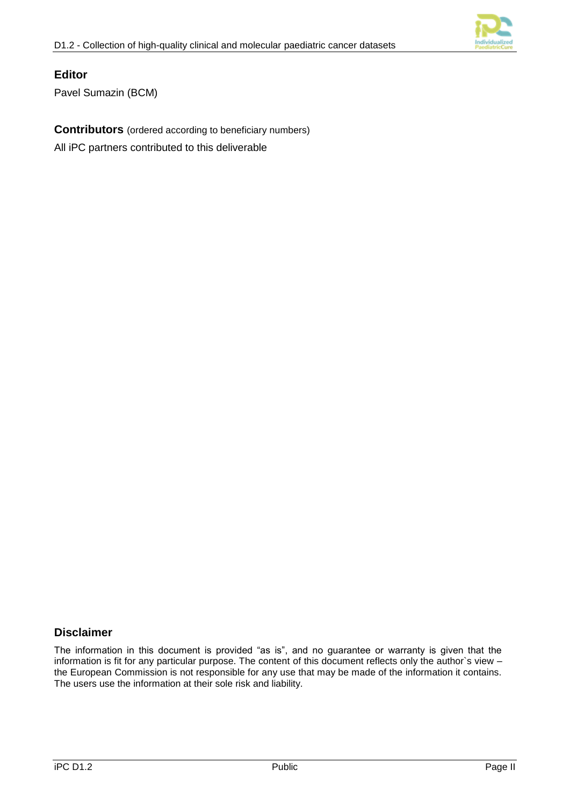

#### **Editor**

Pavel Sumazin (BCM)

**Contributors** (ordered according to beneficiary numbers)

All iPC partners contributed to this deliverable

#### **Disclaimer**

The information in this document is provided "as is", and no guarantee or warranty is given that the information is fit for any particular purpose. The content of this document reflects only the author`s view – the European Commission is not responsible for any use that may be made of the information it contains. The users use the information at their sole risk and liability.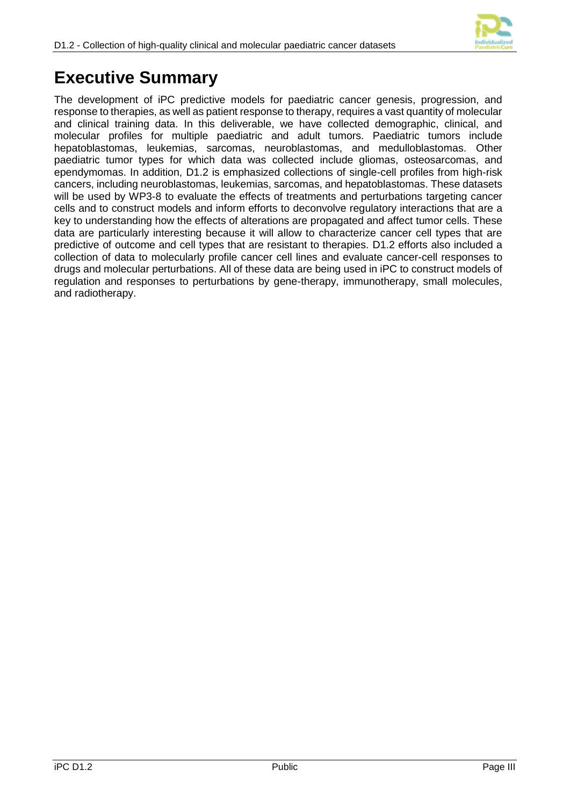

# **Executive Summary**

The development of iPC predictive models for paediatric cancer genesis, progression, and response to therapies, as well as patient response to therapy, requires a vast quantity of molecular and clinical training data. In this deliverable, we have collected demographic, clinical, and molecular profiles for multiple paediatric and adult tumors. Paediatric tumors include hepatoblastomas, leukemias, sarcomas, neuroblastomas, and medulloblastomas. Other paediatric tumor types for which data was collected include gliomas, osteosarcomas, and ependymomas. In addition, D1.2 is emphasized collections of single-cell profiles from high-risk cancers, including neuroblastomas, leukemias, sarcomas, and hepatoblastomas. These datasets will be used by WP3-8 to evaluate the effects of treatments and perturbations targeting cancer cells and to construct models and inform efforts to deconvolve regulatory interactions that are a key to understanding how the effects of alterations are propagated and affect tumor cells. These data are particularly interesting because it will allow to characterize cancer cell types that are predictive of outcome and cell types that are resistant to therapies. D1.2 efforts also included a collection of data to molecularly profile cancer cell lines and evaluate cancer-cell responses to drugs and molecular perturbations. All of these data are being used in iPC to construct models of regulation and responses to perturbations by gene-therapy, immunotherapy, small molecules, and radiotherapy.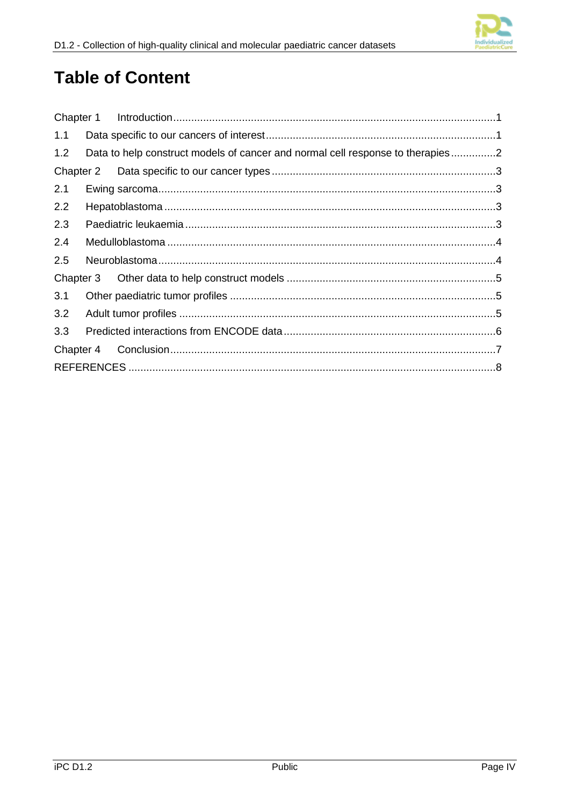# **Table of Content**

| 1.1       |                                                                                |
|-----------|--------------------------------------------------------------------------------|
| 1.2       | Data to help construct models of cancer and normal cell response to therapies2 |
| Chapter 2 |                                                                                |
| 2.1       |                                                                                |
| 2.2       |                                                                                |
| 2.3       |                                                                                |
| 2.4       |                                                                                |
| 2.5       |                                                                                |
|           |                                                                                |
| 3.1       |                                                                                |
| 3.2       |                                                                                |
| 3.3       |                                                                                |
| Chapter 4 |                                                                                |
|           |                                                                                |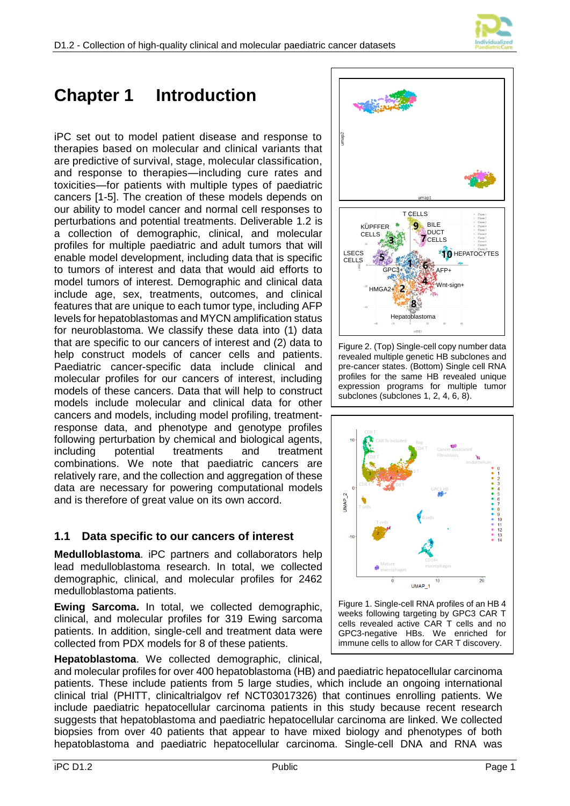



# <span id="page-4-0"></span>**Chapter 1 Introduction**

iPC set out to model patient disease and response to therapies based on molecular and clinical variants that are predictive of survival, stage, molecular classification, and response to therapies—including cure rates and toxicities—for patients with multiple types of paediatric cancers [1-5]. The creation of these models depends on our ability to model cancer and normal cell responses to perturbations and potential treatments. Deliverable 1.2 is a collection of demographic, clinical, and molecular profiles for multiple paediatric and adult tumors that will enable model development, including data that is specific to tumors of interest and data that would aid efforts to model tumors of interest. Demographic and clinical data include age, sex, treatments, outcomes, and clinical features that are unique to each tumor type, including AFP levels for hepatoblastomas and MYCN amplification status for neuroblastoma. We classify these data into (1) data that are specific to our cancers of interest and (2) data to help construct models of cancer cells and patients. Paediatric cancer-specific data include clinical and molecular profiles for our cancers of interest, including models of these cancers. Data that will help to construct models include molecular and clinical data for other cancers and models, including model profiling, treatmentresponse data, and phenotype and genotype profiles following perturbation by chemical and biological agents, including potential treatments and treatment combinations. We note that paediatric cancers are relatively rare, and the collection and aggregation of these data are necessary for powering computational models and is therefore of great value on its own accord.

#### <span id="page-4-1"></span>**1.1 Data specific to our cancers of interest**

**Medulloblastoma**. iPC partners and collaborators help lead medulloblastoma research. In total, we collected demographic, clinical, and molecular profiles for 2462 medulloblastoma patients.

**Ewing Sarcoma.** In total, we collected demographic, clinical, and molecular profiles for 319 Ewing sarcoma patients. In addition, single-cell and treatment data were collected from PDX models for 8 of these patients.

**Hepatoblastoma**. We collected demographic, clinical,





Figure 2. (Top) Single-cell copy number data revealed multiple genetic HB subclones and pre-cancer states. (Bottom) Single cell RNA profiles for the same HB revealed unique expression programs for multiple tumor subclones (subclones 1, 2, 4, 6, 8).



<span id="page-4-2"></span>Figure 1. Single-cell RNA profiles of an HB 4 weeks following targeting by GPC3 CAR T cells revealed active CAR T cells and no GPC3-negative HBs. We enriched for immune cells to allow for CAR T discovery.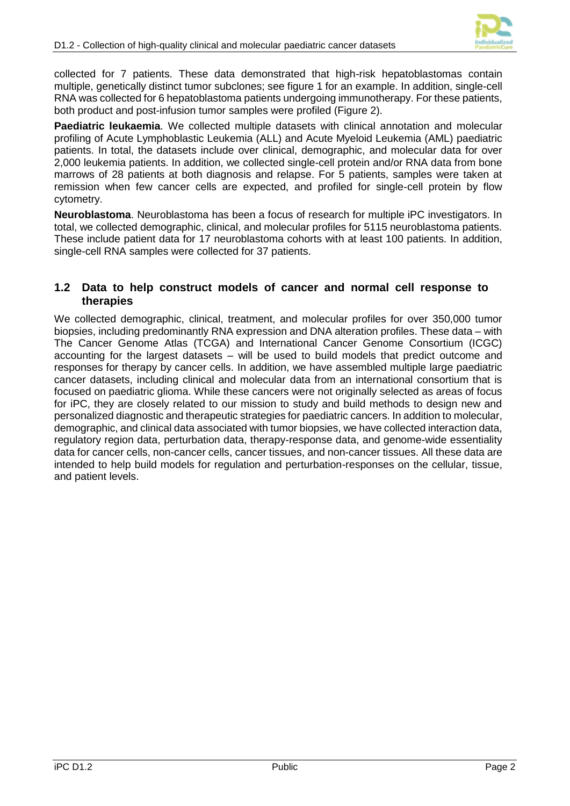

collected for 7 patients. These data demonstrated that high-risk hepatoblastomas contain multiple, genetically distinct tumor subclones; see figure 1 for an example. In addition, single-cell RNA was collected for 6 hepatoblastoma patients undergoing immunotherapy. For these patients, both product and post-infusion tumor samples were profiled [\(Figure 2\)](#page-4-2).

**Paediatric leukaemia**. We collected multiple datasets with clinical annotation and molecular profiling of Acute Lymphoblastic Leukemia (ALL) and Acute Myeloid Leukemia (AML) paediatric patients. In total, the datasets include over clinical, demographic, and molecular data for over 2,000 leukemia patients. In addition, we collected single-cell protein and/or RNA data from bone marrows of 28 patients at both diagnosis and relapse. For 5 patients, samples were taken at remission when few cancer cells are expected, and profiled for single-cell protein by flow cytometry.

**Neuroblastoma**. Neuroblastoma has been a focus of research for multiple iPC investigators. In total, we collected demographic, clinical, and molecular profiles for 5115 neuroblastoma patients. These include patient data for 17 neuroblastoma cohorts with at least 100 patients. In addition, single-cell RNA samples were collected for 37 patients.

#### <span id="page-5-0"></span>**1.2 Data to help construct models of cancer and normal cell response to therapies**

<span id="page-5-1"></span>We collected demographic, clinical, treatment, and molecular profiles for over 350,000 tumor biopsies, including predominantly RNA expression and DNA alteration profiles. These data – with The Cancer Genome Atlas (TCGA) and International Cancer Genome Consortium (ICGC) accounting for the largest datasets – will be used to build models that predict outcome and responses for therapy by cancer cells. In addition, we have assembled multiple large paediatric cancer datasets, including clinical and molecular data from an international consortium that is focused on paediatric glioma. While these cancers were not originally selected as areas of focus for iPC, they are closely related to our mission to study and build methods to design new and personalized diagnostic and therapeutic strategies for paediatric cancers. In addition to molecular, demographic, and clinical data associated with tumor biopsies, we have collected interaction data, regulatory region data, perturbation data, therapy-response data, and genome-wide essentiality data for cancer cells, non-cancer cells, cancer tissues, and non-cancer tissues. All these data are intended to help build models for regulation and perturbation-responses on the cellular, tissue, and patient levels.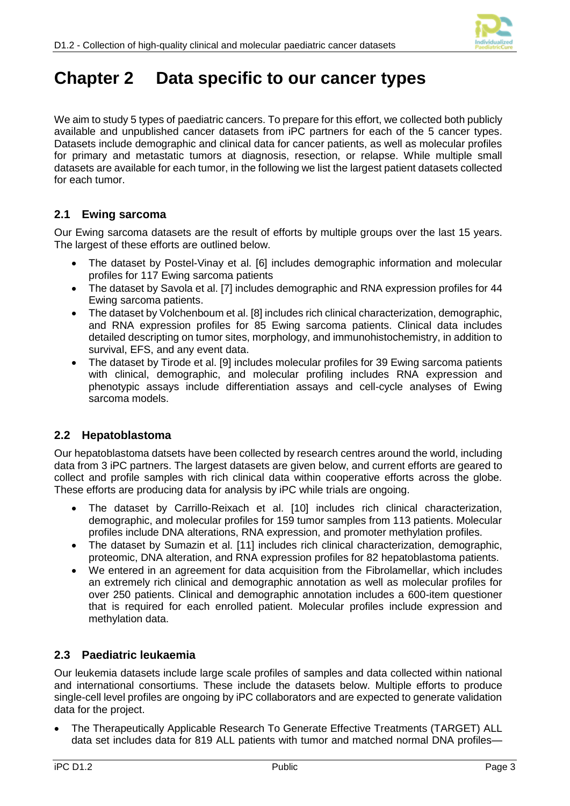

# **Chapter 2 Data specific to our cancer types**

We aim to study 5 types of paediatric cancers. To prepare for this effort, we collected both publicly available and unpublished cancer datasets from iPC partners for each of the 5 cancer types. Datasets include demographic and clinical data for cancer patients, as well as molecular profiles for primary and metastatic tumors at diagnosis, resection, or relapse. While multiple small datasets are available for each tumor, in the following we list the largest patient datasets collected for each tumor.

#### <span id="page-6-0"></span>**2.1 Ewing sarcoma**

Our Ewing sarcoma datasets are the result of efforts by multiple groups over the last 15 years. The largest of these efforts are outlined below.

- The dataset by Postel-Vinay et al. [6] includes demographic information and molecular profiles for 117 Ewing sarcoma patients
- The dataset by Savola et al. [7] includes demographic and RNA expression profiles for 44 Ewing sarcoma patients.
- The dataset by Volchenboum et al. [8] includes rich clinical characterization, demographic, and RNA expression profiles for 85 Ewing sarcoma patients. Clinical data includes detailed descripting on tumor sites, morphology, and immunohistochemistry, in addition to survival, EFS, and any event data.
- The dataset by Tirode et al. [9] includes molecular profiles for 39 Ewing sarcoma patients with clinical, demographic, and molecular profiling includes RNA expression and phenotypic assays include differentiation assays and cell-cycle analyses of Ewing sarcoma models.

#### <span id="page-6-1"></span>**2.2 Hepatoblastoma**

Our hepatoblastoma datsets have been collected by research centres around the world, including data from 3 iPC partners. The largest datasets are given below, and current efforts are geared to collect and profile samples with rich clinical data within cooperative efforts across the globe. These efforts are producing data for analysis by iPC while trials are ongoing.

- The dataset by Carrillo-Reixach et al. [10] includes rich clinical characterization, demographic, and molecular profiles for 159 tumor samples from 113 patients. Molecular profiles include DNA alterations, RNA expression, and promoter methylation profiles.
- The dataset by Sumazin et al. [11] includes rich clinical characterization, demographic, proteomic, DNA alteration, and RNA expression profiles for 82 hepatoblastoma patients.
- We entered in an agreement for data acquisition from the Fibrolamellar, which includes an extremely rich clinical and demographic annotation as well as molecular profiles for over 250 patients. Clinical and demographic annotation includes a 600-item questioner that is required for each enrolled patient. Molecular profiles include expression and methylation data.

#### <span id="page-6-2"></span>**2.3 Paediatric leukaemia**

Our leukemia datasets include large scale profiles of samples and data collected within national and international consortiums. These include the datasets below. Multiple efforts to produce single-cell level profiles are ongoing by iPC collaborators and are expected to generate validation data for the project.

 The Therapeutically Applicable Research To Generate Effective Treatments (TARGET) ALL data set includes data for 819 ALL patients with tumor and matched normal DNA profiles—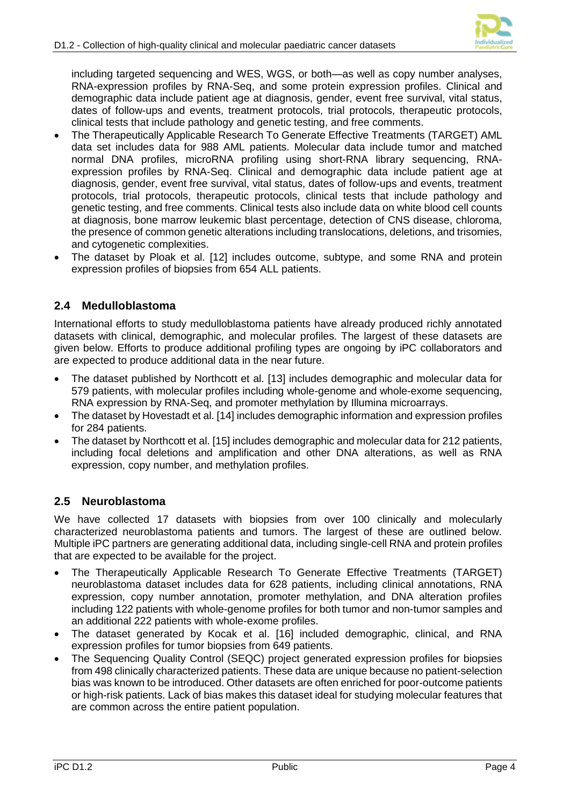

including targeted sequencing and WES, WGS, or both—as well as copy number analyses, RNA-expression profiles by RNA-Seq, and some protein expression profiles. Clinical and demographic data include patient age at diagnosis, gender, event free survival, vital status, dates of follow-ups and events, treatment protocols, trial protocols, therapeutic protocols, clinical tests that include pathology and genetic testing, and free comments.

- The Therapeutically Applicable Research To Generate Effective Treatments (TARGET) AML data set includes data for 988 AML patients. Molecular data include tumor and matched normal DNA profiles, microRNA profiling using short-RNA library sequencing, RNAexpression profiles by RNA-Seq. Clinical and demographic data include patient age at diagnosis, gender, event free survival, vital status, dates of follow-ups and events, treatment protocols, trial protocols, therapeutic protocols, clinical tests that include pathology and genetic testing, and free comments. Clinical tests also include data on white blood cell counts at diagnosis, bone marrow leukemic blast percentage, detection of CNS disease, chloroma, the presence of common genetic alterations including translocations, deletions, and trisomies, and cytogenetic complexities.
- The dataset by Ploak et al. [12] includes outcome, subtype, and some RNA and protein expression profiles of biopsies from 654 ALL patients.

#### <span id="page-7-0"></span>**2.4 Medulloblastoma**

International efforts to study medulloblastoma patients have already produced richly annotated datasets with clinical, demographic, and molecular profiles. The largest of these datasets are given below. Efforts to produce additional profiling types are ongoing by iPC collaborators and are expected to produce additional data in the near future.

- The dataset published by Northcott et al. [13] includes demographic and molecular data for 579 patients, with molecular profiles including whole-genome and whole-exome sequencing, RNA expression by RNA-Seq, and promoter methylation by Illumina microarrays.
- The dataset by Hovestadt et al. [14] includes demographic information and expression profiles for 284 patients.
- The dataset by Northcott et al. [15] includes demographic and molecular data for 212 patients, including focal deletions and amplification and other DNA alterations, as well as RNA expression, copy number, and methylation profiles.

#### <span id="page-7-1"></span>**2.5 Neuroblastoma**

We have collected 17 datasets with biopsies from over 100 clinically and molecularly characterized neuroblastoma patients and tumors. The largest of these are outlined below. Multiple iPC partners are generating additional data, including single-cell RNA and protein profiles that are expected to be available for the project.

- The Therapeutically Applicable Research To Generate Effective Treatments (TARGET) neuroblastoma dataset includes data for 628 patients, including clinical annotations, RNA expression, copy number annotation, promoter methylation, and DNA alteration profiles including 122 patients with whole-genome profiles for both tumor and non-tumor samples and an additional 222 patients with whole-exome profiles.
- The dataset generated by Kocak et al. [16] included demographic, clinical, and RNA expression profiles for tumor biopsies from 649 patients.
- The Sequencing Quality Control (SEQC) project generated expression profiles for biopsies from 498 clinically characterized patients. These data are unique because no patient-selection bias was known to be introduced. Other datasets are often enriched for poor-outcome patients or high-risk patients. Lack of bias makes this dataset ideal for studying molecular features that are common across the entire patient population.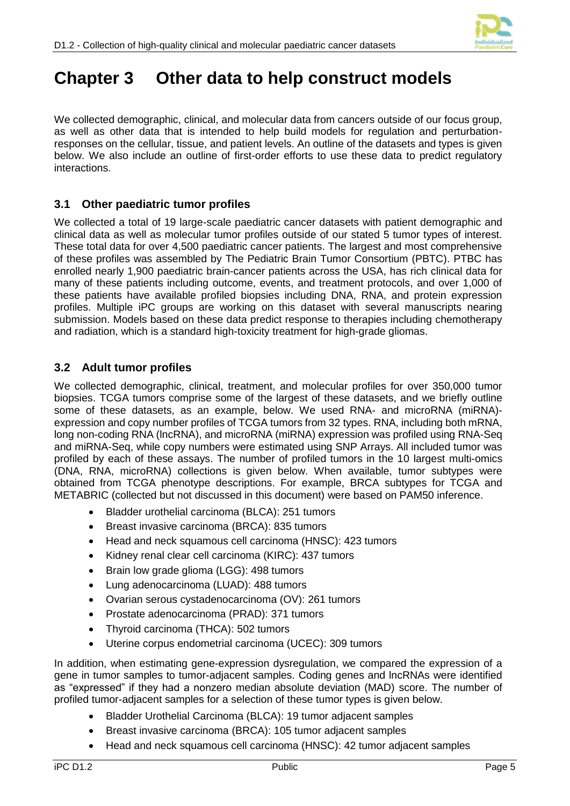

# <span id="page-8-0"></span>**Chapter 3 Other data to help construct models**

We collected demographic, clinical, and molecular data from cancers outside of our focus group, as well as other data that is intended to help build models for regulation and perturbationresponses on the cellular, tissue, and patient levels. An outline of the datasets and types is given below. We also include an outline of first-order efforts to use these data to predict regulatory interactions.

#### <span id="page-8-1"></span>**3.1 Other paediatric tumor profiles**

We collected a total of 19 large-scale paediatric cancer datasets with patient demographic and clinical data as well as molecular tumor profiles outside of our stated 5 tumor types of interest. These total data for over 4,500 paediatric cancer patients. The largest and most comprehensive of these profiles was assembled by The Pediatric Brain Tumor Consortium (PBTC). PTBC has enrolled nearly 1,900 paediatric brain-cancer patients across the USA, has rich clinical data for many of these patients including outcome, events, and treatment protocols, and over 1,000 of these patients have available profiled biopsies including DNA, RNA, and protein expression profiles. Multiple iPC groups are working on this dataset with several manuscripts nearing submission. Models based on these data predict response to therapies including chemotherapy and radiation, which is a standard high-toxicity treatment for high-grade gliomas.

#### <span id="page-8-2"></span>**3.2 Adult tumor profiles**

We collected demographic, clinical, treatment, and molecular profiles for over 350,000 tumor biopsies. TCGA tumors comprise some of the largest of these datasets, and we briefly outline some of these datasets, as an example, below. We used RNA- and microRNA (miRNA) expression and copy number profiles of TCGA tumors from 32 types. RNA, including both mRNA, long non-coding RNA (lncRNA), and microRNA (miRNA) expression was profiled using RNA-Seq and miRNA-Seq, while copy numbers were estimated using SNP Arrays. All included tumor was profiled by each of these assays. The number of profiled tumors in the 10 largest multi-omics (DNA, RNA, microRNA) collections is given below. When available, tumor subtypes were obtained from TCGA phenotype descriptions. For example, BRCA subtypes for TCGA and METABRIC (collected but not discussed in this document) were based on PAM50 inference.

- Bladder urothelial carcinoma (BLCA): 251 tumors
- Breast invasive carcinoma (BRCA): 835 tumors
- Head and neck squamous cell carcinoma (HNSC): 423 tumors
- Kidney renal clear cell carcinoma (KIRC): 437 tumors
- Brain low grade glioma (LGG): 498 tumors
- Lung adenocarcinoma (LUAD): 488 tumors
- Ovarian serous cystadenocarcinoma (OV): 261 tumors
- Prostate adenocarcinoma (PRAD): 371 tumors
- Thyroid carcinoma (THCA): 502 tumors
- Uterine corpus endometrial carcinoma (UCEC): 309 tumors

In addition, when estimating gene-expression dysregulation, we compared the expression of a gene in tumor samples to tumor-adjacent samples. Coding genes and lncRNAs were identified as "expressed" if they had a nonzero median absolute deviation (MAD) score. The number of profiled tumor-adjacent samples for a selection of these tumor types is given below.

- Bladder Urothelial Carcinoma (BLCA): 19 tumor adjacent samples
- Breast invasive carcinoma (BRCA): 105 tumor adjacent samples
- Head and neck squamous cell carcinoma (HNSC): 42 tumor adjacent samples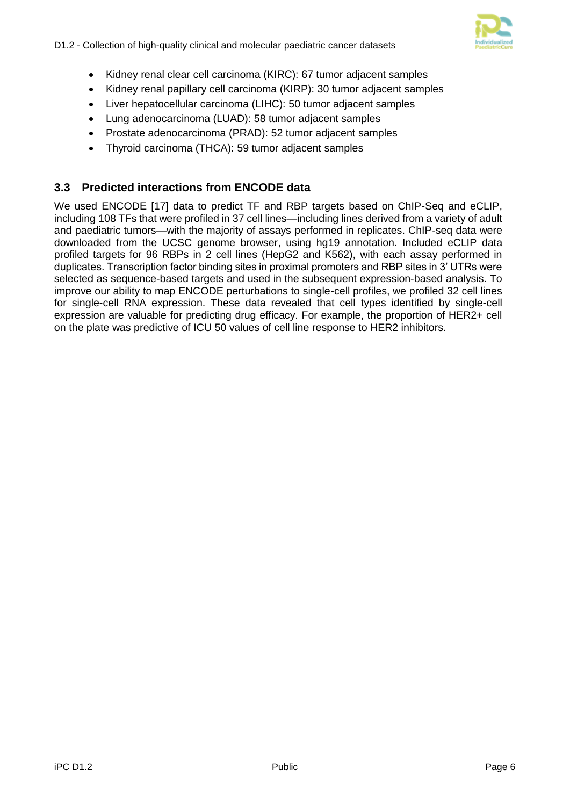

- Kidney renal clear cell carcinoma (KIRC): 67 tumor adjacent samples
- Kidney renal papillary cell carcinoma (KIRP): 30 tumor adjacent samples
- Liver hepatocellular carcinoma (LIHC): 50 tumor adjacent samples
- Lung adenocarcinoma (LUAD): 58 tumor adjacent samples
- Prostate adenocarcinoma (PRAD): 52 tumor adjacent samples
- Thyroid carcinoma (THCA): 59 tumor adjacent samples

#### <span id="page-9-0"></span>**3.3 Predicted interactions from ENCODE data**

We used ENCODE [17] data to predict TF and RBP targets based on ChIP-Seq and eCLIP. including 108 TFs that were profiled in 37 cell lines—including lines derived from a variety of adult and paediatric tumors—with the majority of assays performed in replicates. ChIP-seq data were downloaded from the UCSC genome browser, using hg19 annotation. Included eCLIP data profiled targets for 96 RBPs in 2 cell lines (HepG2 and K562), with each assay performed in duplicates. Transcription factor binding sites in proximal promoters and RBP sites in 3' UTRs were selected as sequence-based targets and used in the subsequent expression-based analysis. To improve our ability to map ENCODE perturbations to single-cell profiles, we profiled 32 cell lines for single-cell RNA expression. These data revealed that cell types identified by single-cell expression are valuable for predicting drug efficacy. For example, the proportion of HER2+ cell on the plate was predictive of ICU 50 values of cell line response to HER2 inhibitors.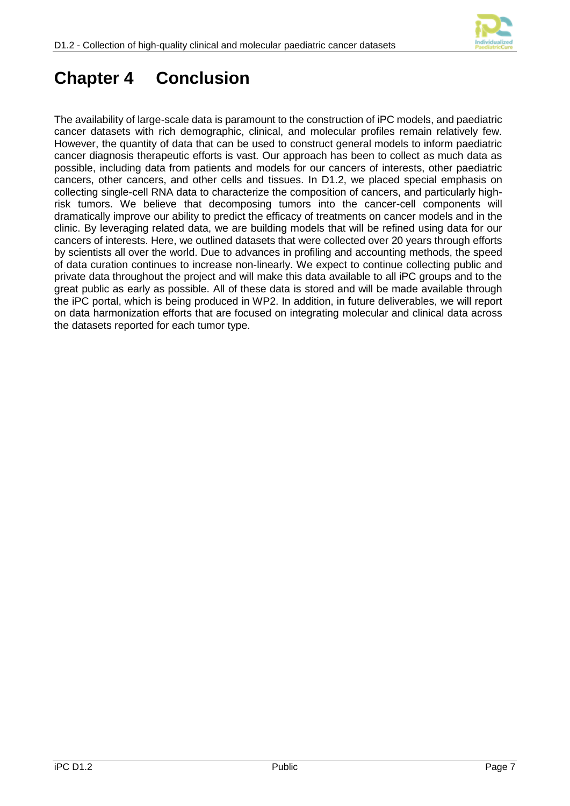

# <span id="page-10-0"></span>**Chapter 4 Conclusion**

The availability of large-scale data is paramount to the construction of iPC models, and paediatric cancer datasets with rich demographic, clinical, and molecular profiles remain relatively few. However, the quantity of data that can be used to construct general models to inform paediatric cancer diagnosis therapeutic efforts is vast. Our approach has been to collect as much data as possible, including data from patients and models for our cancers of interests, other paediatric cancers, other cancers, and other cells and tissues. In D1.2, we placed special emphasis on collecting single-cell RNA data to characterize the composition of cancers, and particularly highrisk tumors. We believe that decomposing tumors into the cancer-cell components will dramatically improve our ability to predict the efficacy of treatments on cancer models and in the clinic. By leveraging related data, we are building models that will be refined using data for our cancers of interests. Here, we outlined datasets that were collected over 20 years through efforts by scientists all over the world. Due to advances in profiling and accounting methods, the speed of data curation continues to increase non-linearly. We expect to continue collecting public and private data throughout the project and will make this data available to all iPC groups and to the great public as early as possible. All of these data is stored and will be made available through the iPC portal, which is being produced in WP2. In addition, in future deliverables, we will report on data harmonization efforts that are focused on integrating molecular and clinical data across the datasets reported for each tumor type.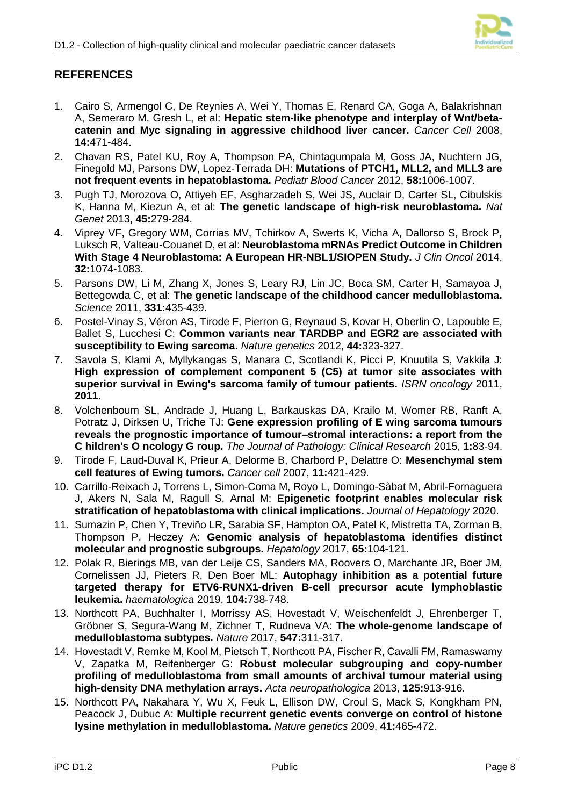

#### <span id="page-11-0"></span>**REFERENCES**

- 1. Cairo S, Armengol C, De Reynies A, Wei Y, Thomas E, Renard CA, Goga A, Balakrishnan A, Semeraro M, Gresh L, et al: **Hepatic stem-like phenotype and interplay of Wnt/betacatenin and Myc signaling in aggressive childhood liver cancer.** *Cancer Cell* 2008, **14:**471-484.
- 2. Chavan RS, Patel KU, Roy A, Thompson PA, Chintagumpala M, Goss JA, Nuchtern JG, Finegold MJ, Parsons DW, Lopez-Terrada DH: **Mutations of PTCH1, MLL2, and MLL3 are not frequent events in hepatoblastoma.** *Pediatr Blood Cancer* 2012, **58:**1006-1007.
- 3. Pugh TJ, Morozova O, Attiyeh EF, Asgharzadeh S, Wei JS, Auclair D, Carter SL, Cibulskis K, Hanna M, Kiezun A, et al: **The genetic landscape of high-risk neuroblastoma.** *Nat Genet* 2013, **45:**279-284.
- 4. Viprey VF, Gregory WM, Corrias MV, Tchirkov A, Swerts K, Vicha A, Dallorso S, Brock P, Luksch R, Valteau-Couanet D, et al: **Neuroblastoma mRNAs Predict Outcome in Children With Stage 4 Neuroblastoma: A European HR-NBL1/SIOPEN Study.** *J Clin Oncol* 2014, **32:**1074-1083.
- 5. Parsons DW, Li M, Zhang X, Jones S, Leary RJ, Lin JC, Boca SM, Carter H, Samayoa J, Bettegowda C, et al: **The genetic landscape of the childhood cancer medulloblastoma.** *Science* 2011, **331:**435-439.
- 6. Postel-Vinay S, Véron AS, Tirode F, Pierron G, Reynaud S, Kovar H, Oberlin O, Lapouble E, Ballet S, Lucchesi C: **Common variants near TARDBP and EGR2 are associated with susceptibility to Ewing sarcoma.** *Nature genetics* 2012, **44:**323-327.
- 7. Savola S, Klami A, Myllykangas S, Manara C, Scotlandi K, Picci P, Knuutila S, Vakkila J: **High expression of complement component 5 (C5) at tumor site associates with superior survival in Ewing's sarcoma family of tumour patients.** *ISRN oncology* 2011, **2011**.
- 8. Volchenboum SL, Andrade J, Huang L, Barkauskas DA, Krailo M, Womer RB, Ranft A, Potratz J, Dirksen U, Triche TJ: **Gene expression profiling of E wing sarcoma tumours reveals the prognostic importance of tumour–stromal interactions: a report from the C hildren's O ncology G roup.** *The Journal of Pathology: Clinical Research* 2015, **1:**83-94.
- 9. Tirode F, Laud-Duval K, Prieur A, Delorme B, Charbord P, Delattre O: **Mesenchymal stem cell features of Ewing tumors.** *Cancer cell* 2007, **11:**421-429.
- 10. Carrillo-Reixach J, Torrens L, Simon-Coma M, Royo L, Domingo-Sàbat M, Abril-Fornaguera J, Akers N, Sala M, Ragull S, Arnal M: **Epigenetic footprint enables molecular risk stratification of hepatoblastoma with clinical implications.** *Journal of Hepatology* 2020.
- 11. Sumazin P, Chen Y, Treviño LR, Sarabia SF, Hampton OA, Patel K, Mistretta TA, Zorman B, Thompson P, Heczey A: **Genomic analysis of hepatoblastoma identifies distinct molecular and prognostic subgroups.** *Hepatology* 2017, **65:**104-121.
- 12. Polak R, Bierings MB, van der Leije CS, Sanders MA, Roovers O, Marchante JR, Boer JM, Cornelissen JJ, Pieters R, Den Boer ML: **Autophagy inhibition as a potential future targeted therapy for ETV6-RUNX1-driven B-cell precursor acute lymphoblastic leukemia.** *haematologica* 2019, **104:**738-748.
- 13. Northcott PA, Buchhalter I, Morrissy AS, Hovestadt V, Weischenfeldt J, Ehrenberger T, Gröbner S, Segura-Wang M, Zichner T, Rudneva VA: **The whole-genome landscape of medulloblastoma subtypes.** *Nature* 2017, **547:**311-317.
- 14. Hovestadt V, Remke M, Kool M, Pietsch T, Northcott PA, Fischer R, Cavalli FM, Ramaswamy V, Zapatka M, Reifenberger G: **Robust molecular subgrouping and copy-number profiling of medulloblastoma from small amounts of archival tumour material using high-density DNA methylation arrays.** *Acta neuropathologica* 2013, **125:**913-916.
- 15. Northcott PA, Nakahara Y, Wu X, Feuk L, Ellison DW, Croul S, Mack S, Kongkham PN, Peacock J, Dubuc A: **Multiple recurrent genetic events converge on control of histone lysine methylation in medulloblastoma.** *Nature genetics* 2009, **41:**465-472.